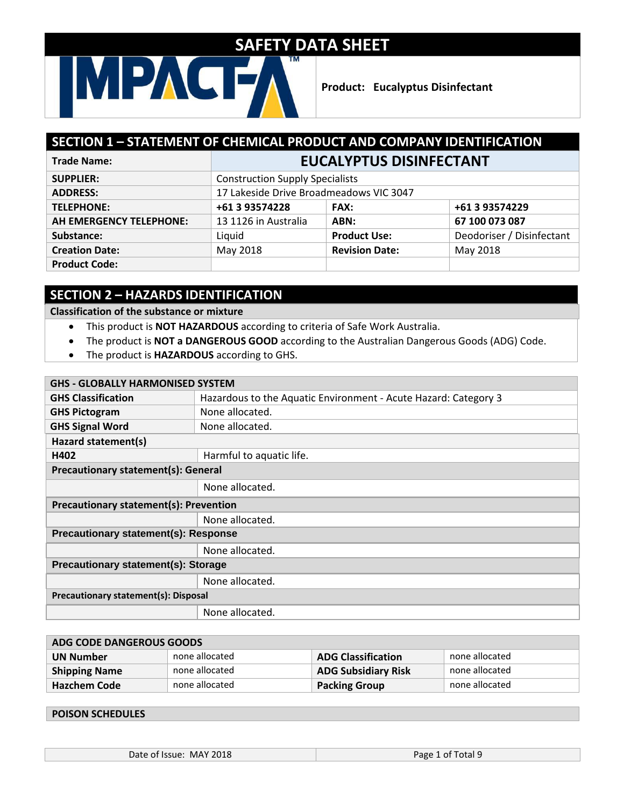## MPAG

**Product: Eucalyptus Disinfectant**

#### **SECTION 1 – STATEMENT OF CHEMICAL PRODUCT AND COMPANY IDENTIFICATION Trade Name: EUCALYPTUS DISINFECTANT SUPPLIER:** Construction Supply Specialists **ADDRESS:** 17 Lakeside Drive Broadmeadows VIC 3047 **TELEPHONE: +61 3 93574228 FAX: +61 3 93574229 AH EMERGENCY TELEPHONE:** 13 1126 in Australia **ABN: 67 100 073 087 Substance:** The Liquid **Product Use:** Deodoriser / Disinfectant **Creation Date: May 2018 Revision Date:** May 2018 **Product Code:**

### **SECTION 2 – HAZARDS IDENTIFICATION**

#### **Classification of the substance or mixture**

- This product is **NOT HAZARDOUS** according to criteria of Safe Work Australia.
- The product is **NOT a DANGEROUS GOOD** according to the Australian Dangerous Goods (ADG) Code.
- The product is **HAZARDOUS** according to GHS.

| <b>GHS - GLOBALLY HARMONISED SYSTEM</b>       |                                                                 |  |
|-----------------------------------------------|-----------------------------------------------------------------|--|
| <b>GHS Classification</b>                     | Hazardous to the Aquatic Environment - Acute Hazard: Category 3 |  |
| <b>GHS Pictogram</b>                          | None allocated.                                                 |  |
| <b>GHS Signal Word</b>                        | None allocated.                                                 |  |
| Hazard statement(s)                           |                                                                 |  |
| H402                                          | Harmful to aquatic life.                                        |  |
| <b>Precautionary statement(s): General</b>    |                                                                 |  |
|                                               | None allocated.                                                 |  |
| <b>Precautionary statement(s): Prevention</b> |                                                                 |  |
|                                               | None allocated.                                                 |  |
| <b>Precautionary statement(s): Response</b>   |                                                                 |  |
|                                               | None allocated.                                                 |  |
| Precautionary statement(s): Storage           |                                                                 |  |
|                                               | None allocated.                                                 |  |
| <b>Precautionary statement(s): Disposal</b>   |                                                                 |  |
|                                               | None allocated.                                                 |  |

| ADG CODE DANGEROUS GOODS |                |                            |                |
|--------------------------|----------------|----------------------------|----------------|
| <b>UN Number</b>         | none allocated | <b>ADG Classification</b>  | none allocated |
| <b>Shipping Name</b>     | none allocated | <b>ADG Subsidiary Risk</b> | none allocated |
| <b>Hazchem Code</b>      | none allocated | <b>Packing Group</b>       | none allocated |

#### **POISON SCHEDULES**

Date of Issue: MAY 2018 **Page 1 of Total 9**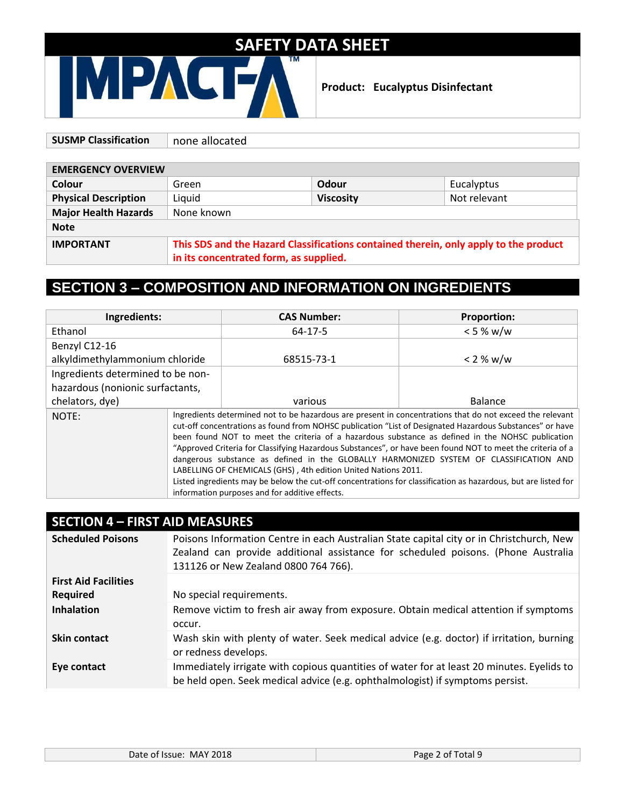**Product: Eucalyptus Disinfectant**

| <b>SUSMP Classification</b> | none allocated                                                                       |                  |              |
|-----------------------------|--------------------------------------------------------------------------------------|------------------|--------------|
|                             |                                                                                      |                  |              |
| <b>EMERGENCY OVERVIEW</b>   |                                                                                      |                  |              |
| <b>Colour</b>               | Green                                                                                | Odour            | Eucalyptus   |
| <b>Physical Description</b> | Liquid                                                                               | <b>Viscosity</b> | Not relevant |
| <b>Major Health Hazards</b> | None known                                                                           |                  |              |
| <b>Note</b>                 |                                                                                      |                  |              |
| <b>IMPORTANT</b>            | This SDS and the Hazard Classifications contained therein, only apply to the product |                  |              |
|                             | in its concentrated form, as supplied.                                               |                  |              |

### **SECTION 3 – COMPOSITION AND INFORMATION ON INGREDIENTS**

| Ingredients:                      |                                                                                                                                                                                                                                                                                                                                                                                                                                                                                                                                                                                                                                                                                                                                                                        | <b>CAS Number:</b> | <b>Proportion:</b> |
|-----------------------------------|------------------------------------------------------------------------------------------------------------------------------------------------------------------------------------------------------------------------------------------------------------------------------------------------------------------------------------------------------------------------------------------------------------------------------------------------------------------------------------------------------------------------------------------------------------------------------------------------------------------------------------------------------------------------------------------------------------------------------------------------------------------------|--------------------|--------------------|
| Ethanol                           |                                                                                                                                                                                                                                                                                                                                                                                                                                                                                                                                                                                                                                                                                                                                                                        | $64-17-5$          | < 5 % w/w          |
| Benzyl C12-16                     |                                                                                                                                                                                                                                                                                                                                                                                                                                                                                                                                                                                                                                                                                                                                                                        |                    |                    |
| alkyldimethylammonium chloride    |                                                                                                                                                                                                                                                                                                                                                                                                                                                                                                                                                                                                                                                                                                                                                                        | 68515-73-1         | < 2 % w/w          |
| Ingredients determined to be non- |                                                                                                                                                                                                                                                                                                                                                                                                                                                                                                                                                                                                                                                                                                                                                                        |                    |                    |
| hazardous (nonionic surfactants,  |                                                                                                                                                                                                                                                                                                                                                                                                                                                                                                                                                                                                                                                                                                                                                                        |                    |                    |
| chelators, dye)                   |                                                                                                                                                                                                                                                                                                                                                                                                                                                                                                                                                                                                                                                                                                                                                                        | various            | Balance            |
| NOTE:                             | Ingredients determined not to be hazardous are present in concentrations that do not exceed the relevant<br>cut-off concentrations as found from NOHSC publication "List of Designated Hazardous Substances" or have<br>been found NOT to meet the criteria of a hazardous substance as defined in the NOHSC publication<br>"Approved Criteria for Classifying Hazardous Substances", or have been found NOT to meet the criteria of a<br>dangerous substance as defined in the GLOBALLY HARMONIZED SYSTEM OF CLASSIFICATION AND<br>LABELLING OF CHEMICALS (GHS), 4th edition United Nations 2011.<br>Listed ingredients may be below the cut-off concentrations for classification as hazardous, but are listed for<br>information purposes and for additive effects. |                    |                    |

#### **SECTION 4 – FIRST AID MEASURES**

| <b>Scheduled Poisons</b>    | Poisons Information Centre in each Australian State capital city or in Christchurch, New<br>Zealand can provide additional assistance for scheduled poisons. (Phone Australia<br>131126 or New Zealand 0800 764 766). |
|-----------------------------|-----------------------------------------------------------------------------------------------------------------------------------------------------------------------------------------------------------------------|
| <b>First Aid Facilities</b> |                                                                                                                                                                                                                       |
| <b>Required</b>             | No special requirements.                                                                                                                                                                                              |
| <b>Inhalation</b>           | Remove victim to fresh air away from exposure. Obtain medical attention if symptoms<br>occur.                                                                                                                         |
| <b>Skin contact</b>         | Wash skin with plenty of water. Seek medical advice (e.g. doctor) if irritation, burning<br>or redness develops.                                                                                                      |
| Eye contact                 | Immediately irrigate with copious quantities of water for at least 20 minutes. Eyelids to<br>be held open. Seek medical advice (e.g. ophthalmologist) if symptoms persist.                                            |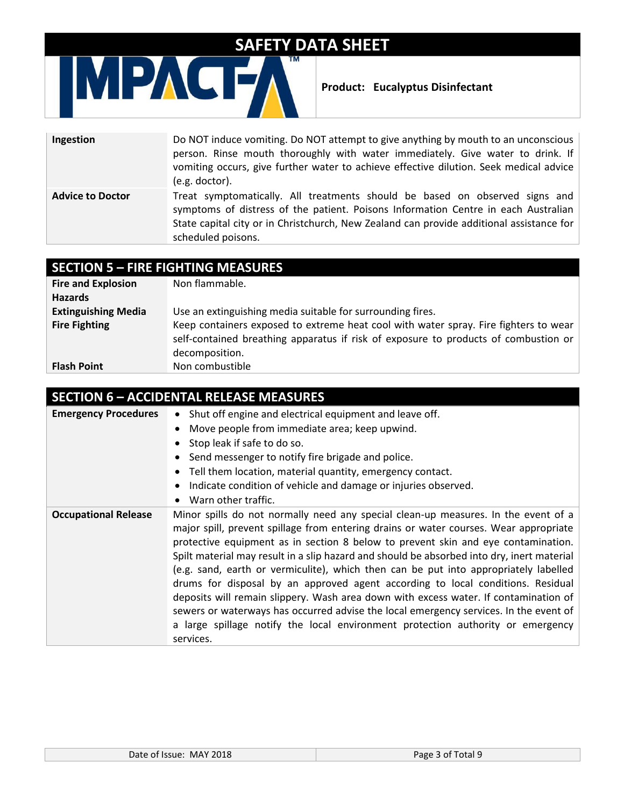

**Product: Eucalyptus Disinfectant**

| Ingestion               | Do NOT induce vomiting. Do NOT attempt to give anything by mouth to an unconscious<br>person. Rinse mouth thoroughly with water immediately. Give water to drink. If<br>vomiting occurs, give further water to achieve effective dilution. Seek medical advice<br>(e.g. doctor).    |
|-------------------------|-------------------------------------------------------------------------------------------------------------------------------------------------------------------------------------------------------------------------------------------------------------------------------------|
| <b>Advice to Doctor</b> | Treat symptomatically. All treatments should be based on observed signs and<br>symptoms of distress of the patient. Poisons Information Centre in each Australian<br>State capital city or in Christchurch, New Zealand can provide additional assistance for<br>scheduled poisons. |

## **SECTION 5 – FIRE FIGHTING MEASURES**

| <b>Fire and Explosion</b>  | Non flammable.                                                                       |
|----------------------------|--------------------------------------------------------------------------------------|
| <b>Hazards</b>             |                                                                                      |
| <b>Extinguishing Media</b> | Use an extinguishing media suitable for surrounding fires.                           |
| <b>Fire Fighting</b>       | Keep containers exposed to extreme heat cool with water spray. Fire fighters to wear |
|                            | self-contained breathing apparatus if risk of exposure to products of combustion or  |
|                            | decomposition.                                                                       |
| <b>Flash Point</b>         | Non combustible                                                                      |

| <b>SECTION 6 - ACCIDENTAL RELEASE MEASURES</b> |                                                                                                                                                                                                                                                                                                                                                                                                                                                                                                                                                                                                                                                                                                                                                                                                                            |  |
|------------------------------------------------|----------------------------------------------------------------------------------------------------------------------------------------------------------------------------------------------------------------------------------------------------------------------------------------------------------------------------------------------------------------------------------------------------------------------------------------------------------------------------------------------------------------------------------------------------------------------------------------------------------------------------------------------------------------------------------------------------------------------------------------------------------------------------------------------------------------------------|--|
| <b>Emergency Procedures</b>                    | • Shut off engine and electrical equipment and leave off.                                                                                                                                                                                                                                                                                                                                                                                                                                                                                                                                                                                                                                                                                                                                                                  |  |
|                                                | Move people from immediate area; keep upwind.                                                                                                                                                                                                                                                                                                                                                                                                                                                                                                                                                                                                                                                                                                                                                                              |  |
|                                                | Stop leak if safe to do so.                                                                                                                                                                                                                                                                                                                                                                                                                                                                                                                                                                                                                                                                                                                                                                                                |  |
|                                                | Send messenger to notify fire brigade and police.                                                                                                                                                                                                                                                                                                                                                                                                                                                                                                                                                                                                                                                                                                                                                                          |  |
|                                                | Tell them location, material quantity, emergency contact.                                                                                                                                                                                                                                                                                                                                                                                                                                                                                                                                                                                                                                                                                                                                                                  |  |
|                                                | Indicate condition of vehicle and damage or injuries observed.                                                                                                                                                                                                                                                                                                                                                                                                                                                                                                                                                                                                                                                                                                                                                             |  |
|                                                | Warn other traffic.                                                                                                                                                                                                                                                                                                                                                                                                                                                                                                                                                                                                                                                                                                                                                                                                        |  |
| <b>Occupational Release</b>                    | Minor spills do not normally need any special clean-up measures. In the event of a<br>major spill, prevent spillage from entering drains or water courses. Wear appropriate<br>protective equipment as in section 8 below to prevent skin and eye contamination.<br>Spilt material may result in a slip hazard and should be absorbed into dry, inert material<br>(e.g. sand, earth or vermiculite), which then can be put into appropriately labelled<br>drums for disposal by an approved agent according to local conditions. Residual<br>deposits will remain slippery. Wash area down with excess water. If contamination of<br>sewers or waterways has occurred advise the local emergency services. In the event of<br>a large spillage notify the local environment protection authority or emergency<br>services. |  |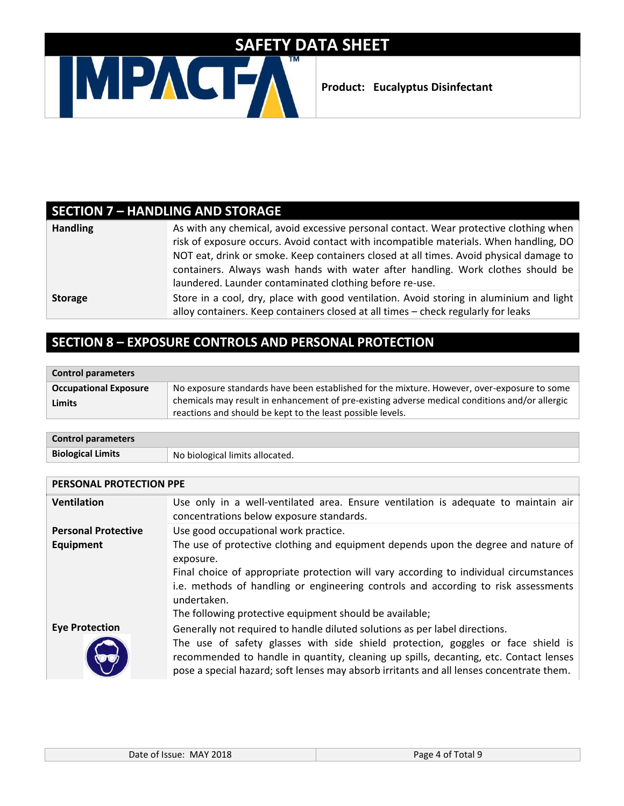

## **SECTION 7 – HANDLING AND STORAGE**

| <b>Handling</b> | As with any chemical, avoid excessive personal contact. Wear protective clothing when                                                                                        |
|-----------------|------------------------------------------------------------------------------------------------------------------------------------------------------------------------------|
|                 | risk of exposure occurs. Avoid contact with incompatible materials. When handling, DO                                                                                        |
|                 | NOT eat, drink or smoke. Keep containers closed at all times. Avoid physical damage to                                                                                       |
|                 | containers. Always wash hands with water after handling. Work clothes should be                                                                                              |
|                 | laundered. Launder contaminated clothing before re-use.                                                                                                                      |
| <b>Storage</b>  | Store in a cool, dry, place with good ventilation. Avoid storing in aluminium and light<br>alloy containers. Keep containers closed at all times - check regularly for leaks |

### **SECTION 8 – EXPOSURE CONTROLS AND PERSONAL PROTECTION**

| <b>Control parameters</b>              |                                                                                                                                                                                                                                                             |
|----------------------------------------|-------------------------------------------------------------------------------------------------------------------------------------------------------------------------------------------------------------------------------------------------------------|
| <b>Occupational Exposure</b><br>Limits | No exposure standards have been established for the mixture. However, over-exposure to some<br>chemicals may result in enhancement of pre-existing adverse medical conditions and/or allergic<br>reactions and should be kept to the least possible levels. |

| <b>Control parameters</b> |                                 |
|---------------------------|---------------------------------|
| <b>Biological Limits</b>  | No biological limits allocated. |

| PERSONAL PROTECTION PPE    |                                                                                                                                                                           |  |
|----------------------------|---------------------------------------------------------------------------------------------------------------------------------------------------------------------------|--|
| <b>Ventilation</b>         | Use only in a well-ventilated area. Ensure ventilation is adequate to maintain air<br>concentrations below exposure standards.                                            |  |
| <b>Personal Protective</b> | Use good occupational work practice.                                                                                                                                      |  |
| Equipment                  | The use of protective clothing and equipment depends upon the degree and nature of                                                                                        |  |
|                            | exposure.                                                                                                                                                                 |  |
|                            | Final choice of appropriate protection will vary according to individual circumstances                                                                                    |  |
|                            | i.e. methods of handling or engineering controls and according to risk assessments                                                                                        |  |
|                            | undertaken.                                                                                                                                                               |  |
|                            | The following protective equipment should be available;                                                                                                                   |  |
| <b>Eye Protection</b>      | Generally not required to handle diluted solutions as per label directions.                                                                                               |  |
|                            | The use of safety glasses with side shield protection, goggles or face shield is<br>recommended to handle in quantity, cleaning up spills, decanting, etc. Contact lenses |  |
|                            | pose a special hazard; soft lenses may absorb irritants and all lenses concentrate them.                                                                                  |  |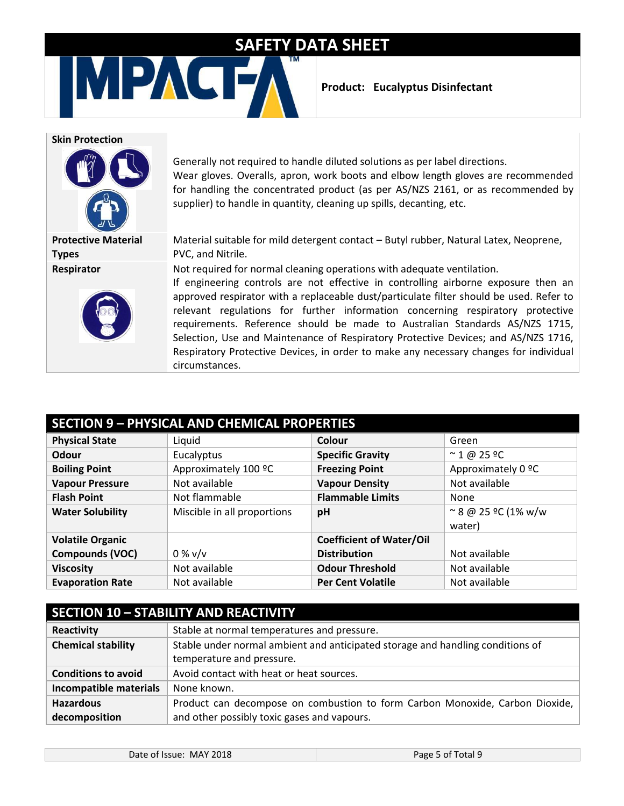**Product: Eucalyptus Disinfectant**

#### **Skin Protection**



**Protective Material Types Respirator**



Generally not required to handle diluted solutions as per label directions. Wear gloves. Overalls, apron, work boots and elbow length gloves are recommended for handling the concentrated product (as per AS/NZS 2161, or as recommended by supplier) to handle in quantity, cleaning up spills, decanting, etc.

Material suitable for mild detergent contact – Butyl rubber, Natural Latex, Neoprene, PVC, and Nitrile.

Not required for normal cleaning operations with adequate ventilation.

If engineering controls are not effective in controlling airborne exposure then an approved respirator with a replaceable dust/particulate filter should be used. Refer to relevant regulations for further information concerning respiratory protective requirements. Reference should be made to Australian Standards AS/NZS 1715, Selection, Use and Maintenance of Respiratory Protective Devices; and AS/NZS 1716, Respiratory Protective Devices, in order to make any necessary changes for individual circumstances.

| <b>SECTION 9 - PHYSICAL AND CHEMICAL PROPERTIES</b> |                             |                                 |                                       |
|-----------------------------------------------------|-----------------------------|---------------------------------|---------------------------------------|
| <b>Physical State</b>                               | Liquid                      | Colour                          | Green                                 |
| Odour                                               | Eucalyptus                  | <b>Specific Gravity</b>         | $\approx$ 1 @ 25 ºC                   |
| <b>Boiling Point</b>                                | Approximately 100 °C        | <b>Freezing Point</b>           | Approximately 0 °C                    |
| <b>Vapour Pressure</b>                              | Not available               | <b>Vapour Density</b>           | Not available                         |
| <b>Flash Point</b>                                  | Not flammable               | <b>Flammable Limits</b>         | None                                  |
| <b>Water Solubility</b>                             | Miscible in all proportions | pH                              | $\approx$ 8 @ 25 °C (1% w/w<br>water) |
| <b>Volatile Organic</b>                             |                             | <b>Coefficient of Water/Oil</b> |                                       |
| Compounds (VOC)                                     | $0\%$ v/v                   | <b>Distribution</b>             | Not available                         |
| <b>Viscosity</b>                                    | Not available               | <b>Odour Threshold</b>          | Not available                         |
| <b>Evaporation Rate</b>                             | Not available               | <b>Per Cent Volatile</b>        | Not available                         |

#### **SECTION 10 – STABILITY AND REACTIVITY**

| Reactivity                 | Stable at normal temperatures and pressure.                                    |  |
|----------------------------|--------------------------------------------------------------------------------|--|
| <b>Chemical stability</b>  | Stable under normal ambient and anticipated storage and handling conditions of |  |
|                            | temperature and pressure.                                                      |  |
| <b>Conditions to avoid</b> | Avoid contact with heat or heat sources.                                       |  |
| Incompatible materials     | None known.                                                                    |  |
| <b>Hazardous</b>           | Product can decompose on combustion to form Carbon Monoxide, Carbon Dioxide,   |  |
| decomposition              | and other possibly toxic gases and vapours.                                    |  |

| Date of Issue: MAY 2018 |  |  |
|-------------------------|--|--|
|-------------------------|--|--|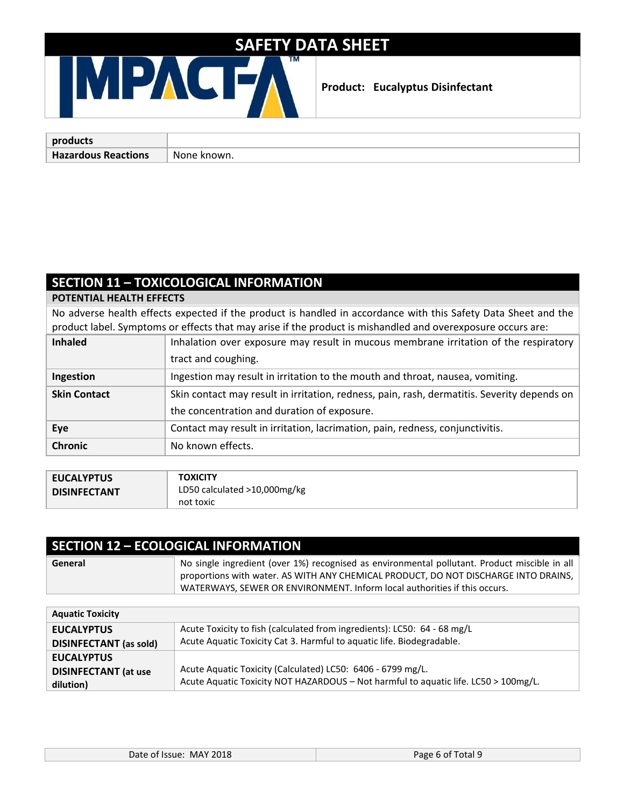#### **Product: Eucalyptus Disinfectant**

| products                   |               |
|----------------------------|---------------|
| <b>Hazardous Reactions</b> | None<br>`own. |

#### **SECTION 11 – TOXICOLOGICAL INFORMATION**

**POTENTIAL HEALTH EFFECTS**

No adverse health effects expected if the product is handled in accordance with this Safety Data Sheet and the product label. Symptoms or effects that may arise if the product is mishandled and overexposure occurs are:

| <b>Inhaled</b>      | Inhalation over exposure may result in mucous membrane irritation of the respiratory        |
|---------------------|---------------------------------------------------------------------------------------------|
|                     | tract and coughing.                                                                         |
| Ingestion           | Ingestion may result in irritation to the mouth and throat, nausea, vomiting.               |
| <b>Skin Contact</b> | Skin contact may result in irritation, redness, pain, rash, dermatitis. Severity depends on |
|                     | the concentration and duration of exposure.                                                 |
| Eye                 | Contact may result in irritation, lacrimation, pain, redness, conjunctivitis.               |
| <b>Chronic</b>      | No known effects.                                                                           |

| <b>EUCALYPTUS</b>   | <b>TOXICITY</b>              |
|---------------------|------------------------------|
| <b>DISINFECTANT</b> | LD50 calculated >10,000mg/kg |
|                     | not toxic                    |

| <b>SECTION 12 - ECOLOGICAL INFORMATION</b> |                                                                                                                                                                                                                                                                   |  |
|--------------------------------------------|-------------------------------------------------------------------------------------------------------------------------------------------------------------------------------------------------------------------------------------------------------------------|--|
| General                                    | No single ingredient (over 1%) recognised as environmental pollutant. Product miscible in all<br>proportions with water. AS WITH ANY CHEMICAL PRODUCT, DO NOT DISCHARGE INTO DRAINS,<br>WATERWAYS, SEWER OR ENVIRONMENT. Inform local authorities if this occurs. |  |
|                                            |                                                                                                                                                                                                                                                                   |  |

| Acute Toxicity to fish (calculated from ingredients): LC50: 64 - 68 mg/L<br><b>EUCALYPTUS</b>          |  |
|--------------------------------------------------------------------------------------------------------|--|
| Acute Aquatic Toxicity Cat 3. Harmful to aquatic life. Biodegradable.<br><b>DISINFECTANT</b> (as sold) |  |
| <b>EUCALYPTUS</b>                                                                                      |  |
| Acute Aquatic Toxicity (Calculated) LC50: 6406 - 6799 mg/L.<br><b>DISINFECTANT</b> (at use             |  |
| Acute Aquatic Toxicity NOT HAZARDOUS - Not harmful to aquatic life. LC50 > 100mg/L.<br>dilution)       |  |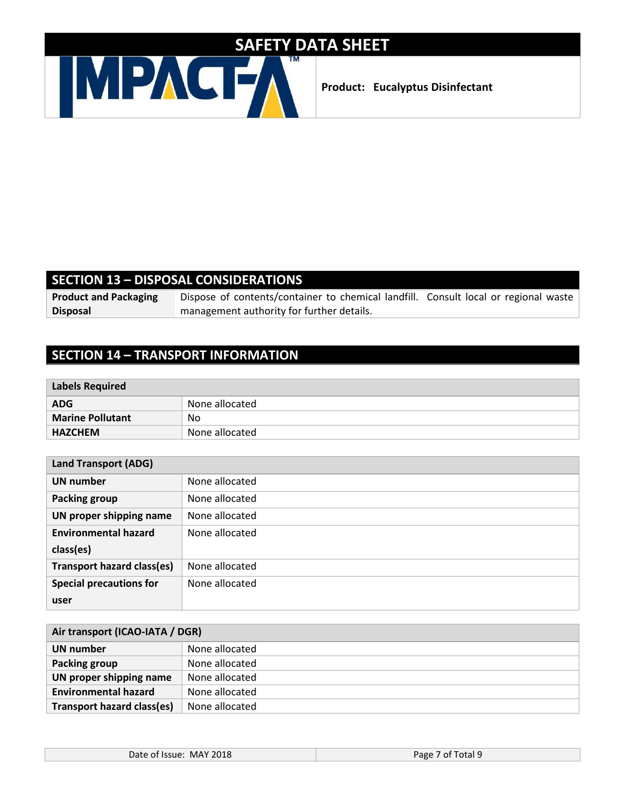

**Product: Eucalyptus Disinfectant**

#### **SECTION 13 – DISPOSAL CONSIDERATIONS**

**Product and Packaging Disposal**

Dispose of contents/container to chemical landfill. Consult local or regional waste management authority for further details.

### **SECTION 14 – TRANSPORT INFORMATION**

| <b>Labels Required</b>  |                |
|-------------------------|----------------|
| <b>ADG</b>              | None allocated |
| <b>Marine Pollutant</b> | No             |
| <b>HAZCHEM</b>          | None allocated |

| <b>Land Transport (ADG)</b>       |                |  |
|-----------------------------------|----------------|--|
| <b>UN number</b>                  | None allocated |  |
| <b>Packing group</b>              | None allocated |  |
| UN proper shipping name           | None allocated |  |
| <b>Environmental hazard</b>       | None allocated |  |
| class(es)                         |                |  |
| <b>Transport hazard class(es)</b> | None allocated |  |
| <b>Special precautions for</b>    | None allocated |  |
| user                              |                |  |

| Air transport (ICAO-IATA / DGR) |                |  |
|---------------------------------|----------------|--|
| UN number                       | None allocated |  |
| Packing group                   | None allocated |  |
| UN proper shipping name         | None allocated |  |
| <b>Environmental hazard</b>     | None allocated |  |
| Transport hazard class(es)      | None allocated |  |

| Date of Issue: MAY 2018 | Page 7 of Total 9 |
|-------------------------|-------------------|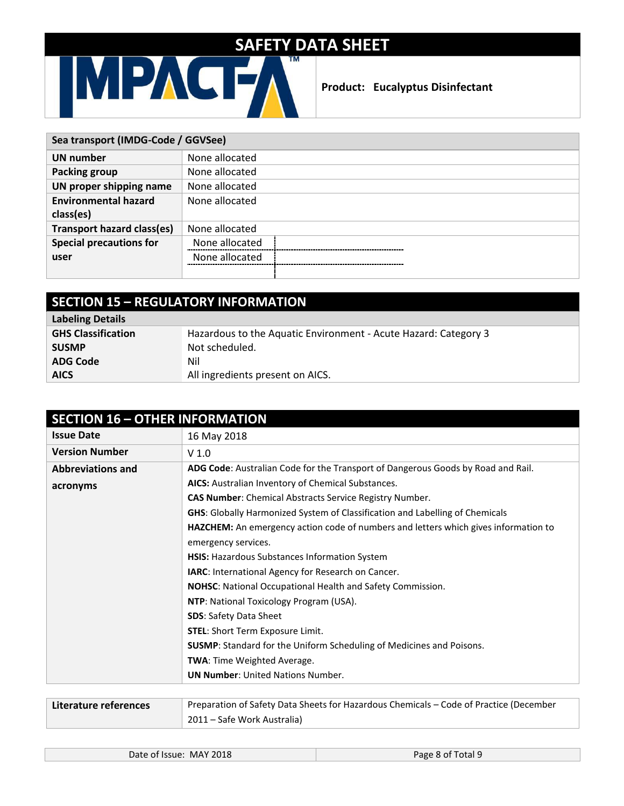

**AICS** All ingredients present on AICS.

**ADG Code** Nil

**Product: Eucalyptus Disinfectant**

| Sea transport (IMDG-Code / GGVSee) |                |
|------------------------------------|----------------|
| UN number                          | None allocated |
| Packing group                      | None allocated |
| UN proper shipping name            | None allocated |
| <b>Environmental hazard</b>        | None allocated |
| class(es)                          |                |
| <b>Transport hazard class(es)</b>  | None allocated |
| <b>Special precautions for</b>     | None allocated |
| user                               | None allocated |
|                                    |                |

| <b>SECTION 15 - REGULATORY INFORMATION</b> |                                                                 |
|--------------------------------------------|-----------------------------------------------------------------|
| <b>Labeling Details</b>                    |                                                                 |
| <b>GHS Classification</b>                  | Hazardous to the Aquatic Environment - Acute Hazard: Category 3 |
| <b>SUSMP</b>                               | Not scheduled.                                                  |

| <b>Issue Date</b>        | 16 May 2018                                                                         |
|--------------------------|-------------------------------------------------------------------------------------|
| <b>Version Number</b>    | V <sub>1.0</sub>                                                                    |
| <b>Abbreviations and</b> | ADG Code: Australian Code for the Transport of Dangerous Goods by Road and Rail.    |
| acronyms                 | AICS: Australian Inventory of Chemical Substances.                                  |
|                          | <b>CAS Number:</b> Chemical Abstracts Service Registry Number.                      |
|                          | <b>GHS:</b> Globally Harmonized System of Classification and Labelling of Chemicals |
|                          | HAZCHEM: An emergency action code of numbers and letters which gives information to |
|                          | emergency services.                                                                 |
|                          | HSIS: Hazardous Substances Information System                                       |
|                          | IARC: International Agency for Research on Cancer.                                  |
|                          | NOHSC: National Occupational Health and Safety Commission.                          |
|                          | NTP: National Toxicology Program (USA).                                             |
|                          | <b>SDS: Safety Data Sheet</b>                                                       |
|                          | <b>STEL:</b> Short Term Exposure Limit.                                             |
|                          | <b>SUSMP:</b> Standard for the Uniform Scheduling of Medicines and Poisons.         |
|                          | TWA: Time Weighted Average.                                                         |
|                          | <b>UN Number: United Nations Number.</b>                                            |

| Literature references | Preparation of Safety Data Sheets for Hazardous Chemicals – Code of Practice (December |
|-----------------------|----------------------------------------------------------------------------------------|
|                       | 2011 – Safe Work Australia)                                                            |

| <b>MAY 2018</b><br>Date of Issue: | Page 8 of Total 9 |
|-----------------------------------|-------------------|